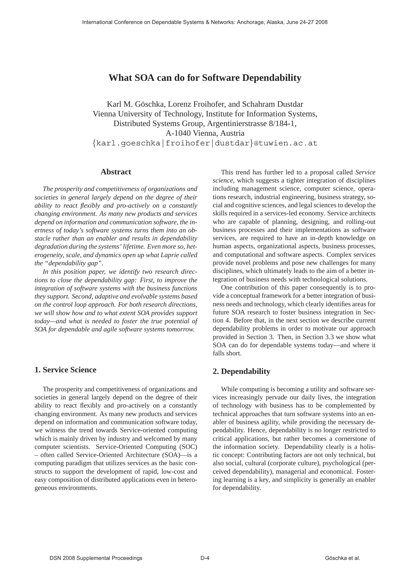# **What SOA can do for Software Dependability**

Karl M. Göschka, Lorenz Froihofer, and Schahram Dustdar Vienna University of Technology, Institute for Information Systems, Distributed Systems Group, Argentinierstrasse 8/184-1, A-1040 Vienna, Austria {karl.goeschka|froihofer|dustdar}@tuwien.ac.at

# **Abstract**

*The prosperity and competitiveness of organizations and societies in general largely depend on the degree of their ability to react flexibly and pro-actively on a constantly changing environment. As many new products and services depend on information and communication software, the inertness of today's software systems turns them into an obstacle rather than an enabler and results in dependability degradation during the systems' lifetime. Even more so, heterogeneity, scale, and dynamics open up what Laprie called the "dependability gap".*

*In this position paper, we identify two research directions to close the dependability gap: First, to improve the integration of software systems with the business functions they support. Second, adaptive and evolvable systems based on the control loop approach. For both research directions, we will show how and to what extent SOA provides support today—and what is needed to foster the true potential of SOA for dependable and agile software systems tomorrow.*

# **1. Service Science**

The prosperity and competitiveness of organizations and societies in general largely depend on the degree of their ability to react flexibly and pro-actively on a constantly changing environment. As many new products and services depend on information and communication software today, we witness the trend towards Service-oriented computing which is mainly driven by industry and welcomed by many computer scientists. Service-Oriented Computing (SOC) – often called Service-Oriented Architecture (SOA)—is a computing paradigm that utilizes services as the basic constructs to support the development of rapid, low-cost and easy composition of distributed applications even in heterogeneous environments.

This trend has further led to a proposal called *Service science*, which suggests a tighter integration of disciplines including management science, computer science, operations research, industrial engineering, business strategy, social and cognitive sciences, and legal sciences to develop the skills required in a services-led economy. Service architects who are capable of planning, designing, and rolling-out business processes and their implementations as software services, are required to have an in-depth knowledge on human aspects, organizational aspects, business processes, and computational and software aspects. Complex services provide novel problems and pose new challenges for many disciplines, which ultimately leads to the aim of a better integration of business needs with technological solutions.

One contribution of this paper consequently is to provide a conceptual framework for a better integration of business needs and technology, which clearly identifies areas for future SOA research to foster business integration in Section 4. Before that, in the next section we describe current dependability problems in order to motivate our approach provided in Section 3. Then, in Section 3.3 we show what SOA can do for dependable systems today—and where it falls short.

# **2. Dependability**

While computing is becoming a utility and software services increasingly pervade our daily lives, the integration of technology with business has to be complemented by technical approaches that turn software systems into an enabler of business agility, while providing the necessary dependability. Hence, dependability is no longer restricted to critical applications, but rather becomes a cornerstone of the information society. Dependability clearly is a holistic concept: Contributing factors are not only technical, but also social, cultural (corporate culture), psychological (perceived dependability), managerial and economical. Fostering learning is a key, and simplicity is generally an enabler for dependability.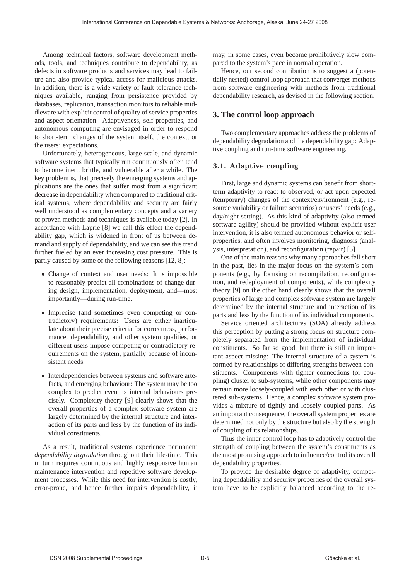Among technical factors, software development methods, tools, and techniques contribute to dependability, as defects in software products and services may lead to failure and also provide typical access for malicious attacks. In addition, there is a wide variety of fault tolerance techniques available, ranging from persistence provided by databases, replication, transaction monitors to reliable middleware with explicit control of quality of service properties and aspect orientation. Adaptiveness, self-properties, and autonomous computing are envisaged in order to respond to short-term changes of the system itself, the context, or the users' expectations.

Unfortunately, heterogeneous, large-scale, and dynamic software systems that typically run continuously often tend to become inert, brittle, and vulnerable after a while. The key problem is, that precisely the emerging systems and applications are the ones that suffer most from a significant decrease in dependability when compared to traditional critical systems, where dependability and security are fairly well understood as complementary concepts and a variety of proven methods and techniques is available today [2]. In accordance with Laprie [8] we call this effect the dependability gap, which is widened in front of us between demand and supply of dependability, and we can see this trend further fueled by an ever increasing cost pressure. This is partly caused by some of the following reasons [12, 8]:

- Change of context and user needs: It is impossible to reasonably predict all combinations of change during design, implementation, deployment, and—most importantly—during run-time.
- Imprecise (and sometimes even competing or contradictory) requirements: Users are either inarticulate about their precise criteria for correctness, performance, dependability, and other system qualities, or different users impose competing or contradictory requirements on the system, partially because of inconsistent needs.
- Interdependencies between systems and software artefacts, and emerging behaviour: The system may be too complex to predict even its internal behaviours precisely. Complexity theory [9] clearly shows that the overall properties of a complex software system are largely determined by the internal structure and interaction of its parts and less by the function of its individual constituents.

As a result, traditional systems experience permanent *dependability degradation* throughout their life-time. This in turn requires continuous and highly responsive human maintenance intervention and repetitive software development processes. While this need for intervention is costly, error-prone, and hence further impairs dependability, it may, in some cases, even become prohibitively slow compared to the system's pace in normal operation.

Hence, our second contribution is to suggest a (potentially nested) control loop approach that converges methods from software engineering with methods from traditional dependability research, as devised in the following section.

# **3. The control loop approach**

Two complementary approaches address the problems of dependability degradation and the dependability gap: Adaptive coupling and run-time software engineering.

## **3.1. Adaptive coupling**

First, large and dynamic systems can benefit from shortterm adaptivity to react to observed, or act upon expected (temporary) changes of the context/environment (e.g., resource variability or failure scenarios) or users' needs (e.g., day/night setting). As this kind of adaptivity (also termed software agility) should be provided without explicit user intervention, it is also termed autonomous behavior or selfproperties, and often involves monitoring, diagnosis (analysis, interpretation), and reconfiguration (repair) [5].

One of the main reasons why many approaches fell short in the past, lies in the major focus on the system's components (e.g., by focusing on recompilation, reconfiguration, and redeployment of components), while complexity theory [9] on the other hand clearly shows that the overall properties of large and complex software system are largely determined by the internal structure and interaction of its parts and less by the function of its individual components.

Service oriented architectures (SOA) already address this perception by putting a strong focus on structure completely separated from the implementation of individual constituents. So far so good, but there is still an important aspect missing: The internal structure of a system is formed by relationships of differing strengths between constituents. Components with tighter connections (or coupling) cluster to sub-systems, while other components may remain more loosely-coupled with each other or with clustered sub-systems. Hence, a complex software system provides a mixture of tightly and loosely coupled parts. As an important consequence, the overall system properties are determined not only by the structure but also by the strength of coupling of its relationships.

Thus the inner control loop has to adaptively control the strength of coupling between the system's constituents as the most promising approach to influence/control its overall dependability properties.

To provide the desirable degree of adaptivity, competing dependability and security properties of the overall system have to be explicitly balanced according to the re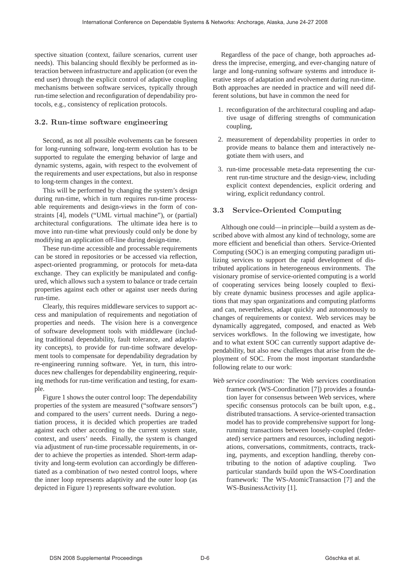spective situation (context, failure scenarios, current user needs). This balancing should flexibly be performed as interaction between infrastructure and application (or even the end user) through the explicit control of adaptive coupling mechanisms between software services, typically through run-time selection and reconfiguration of dependability protocols, e.g., consistency of replication protocols.

#### **3.2. Run-time software engineering**

Second, as not all possible evolvements can be foreseen for long-running software, long-term evolution has to be supported to regulate the emerging behavior of large and dynamic systems, again, with respect to the evolvement of the requirements and user expectations, but also in response to long-term changes in the context.

This will be performed by changing the system's design during run-time, which in turn requires run-time processable requirements and design-views in the form of constraints [4], models ("UML virtual machine"), or (partial) architectural configurations. The ultimate idea here is to move into run-time what previously could only be done by modifying an application off-line during design-time.

These run-time accessible and processable requirements can be stored in repositories or be accessed via reflection, aspect-oriented programming, or protocols for meta-data exchange. They can explicitly be manipulated and configured, which allows such a system to balance or trade certain properties against each other or against user needs during run-time.

Clearly, this requires middleware services to support access and manipulation of requirements and negotiation of properties and needs. The vision here is a convergence of software development tools with middleware (including traditional dependability, fault tolerance, and adaptivity concepts), to provide for run-time software development tools to compensate for dependability degradation by re-engineering running software. Yet, in turn, this introduces new challenges for dependability engineering, requiring methods for run-time verification and testing, for example.

Figure 1 shows the outer control loop: The dependability properties of the system are measured ("software sensors") and compared to the users' current needs. During a negotiation process, it is decided which properties are traded against each other according to the current system state, context, and users' needs. Finally, the system is changed via adjustment of run-time processable requirements, in order to achieve the properties as intended. Short-term adaptivity and long-term evolution can accordingly be differentiated as a combination of two nested control loops, where the inner loop represents adaptivity and the outer loop (as depicted in Figure 1) represents software evolution.

Regardless of the pace of change, both approaches address the imprecise, emerging, and ever-changing nature of large and long-running software systems and introduce iterative steps of adaptation and evolvement during run-time. Both approaches are needed in practice and will need different solutions, but have in common the need for

- 1. reconfiguration of the architectural coupling and adaptive usage of differing strengths of communication coupling,
- 2. measurement of dependability properties in order to provide means to balance them and interactively negotiate them with users, and
- 3. run-time processable meta-data representing the current run-time structure and the design-view, including explicit context dependencies, explicit ordering and wiring, explicit redundancy control.

#### **3.3 Service-Oriented Computing**

Although one could—in principle—build a system as described above with almost any kind of technology, some are more efficient and beneficial than others. Service-Oriented Computing (SOC) is an emerging computing paradigm utilizing services to support the rapid development of distributed applications in heterogeneous environments. The visionary promise of service-oriented computing is a world of cooperating services being loosely coupled to flexibly create dynamic business processes and agile applications that may span organizations and computing platforms and can, nevertheless, adapt quickly and autonomously to changes of requirements or context. Web services may be dynamically aggregated, composed, and enacted as Web services workflows. In the following we investigate, how and to what extent SOC can currently support adaptive dependability, but also new challenges that arise from the deployment of SOC. From the most important standardsthe following relate to our work:

*Web service coordination:* The Web services coordination framework (WS-Coordination [7]) provides a foundation layer for consensus between Web services, where specific consensus protocols can be built upon, e.g., distributed transactions. A service-oriented transaction model has to provide comprehensive support for longrunning transactions between loosely-coupled (federated) service partners and resources, including negotiations, conversations, commitments, contracts, tracking, payments, and exception handling, thereby contributing to the notion of adaptive coupling. Two particular standards build upon the WS-Coordination framework: The WS-AtomicTransaction [7] and the WS-BusinessActivity [1].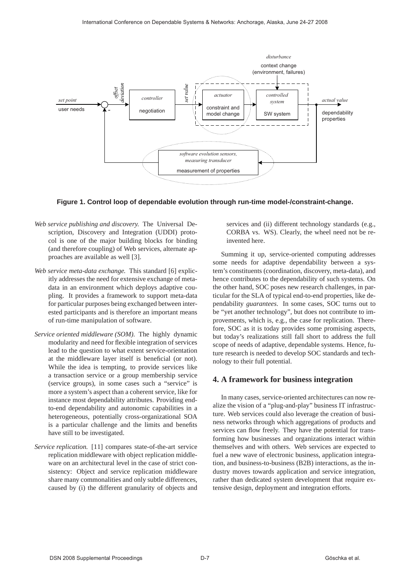

**Figure 1. Control loop of dependable evolution through run-time model-/constraint-change.**

- *Web service publishing and discovery.* The Universal Description, Discovery and Integration (UDDI) protocol is one of the major building blocks for binding (and therefore coupling) of Web services, alternate approaches are available as well [3].
- *Web service meta-data exchange.* This standard [6] explicitly addresses the need for extensive exchange of metadata in an environment which deploys adaptive coupling. It provides a framework to support meta-data for particular purposes being exchanged between interested participants and is therefore an important means of run-time manipulation of software.
- *Service oriented middleware (SOM).* The highly dynamic modularity and need for flexible integration of services lead to the question to what extent service-orientation at the middleware layer itself is beneficial (or not). While the idea is tempting, to provide services like a transaction service or a group membership service (service groups), in some cases such a "service" is more a system's aspect than a coherent service, like for instance most dependability attributes. Providing endto-end dependability and autonomic capabilities in a heterogeneous, potentially cross-organizational SOA is a particular challenge and the limits and benefits have still to be investigated.
- *Service replication.* [11] compares state-of-the-art service replication middleware with object replication middleware on an architectural level in the case of strict consistency: Object and service replication middleware share many commonalities and only subtle differences, caused by (i) the different granularity of objects and

services and (ii) different technology standards (e.g., CORBA vs. WS). Clearly, the wheel need not be reinvented here.

Summing it up, service-oriented computing addresses some needs for adaptive dependability between a system's constituents (coordination, discovery, meta-data), and hence contributes to the dependability of such systems. On the other hand, SOC poses new research challenges, in particular for the SLA of typical end-to-end properties, like dependability *guarantees*. In some cases, SOC turns out to be "yet another technology", but does not contribute to improvements, which is, e.g., the case for replication. Therefore, SOC as it is today provides some promising aspects, but today's realizations still fall short to address the full scope of needs of adaptive, dependable systems. Hence, future research is needed to develop SOC standards and technology to their full potential.

# **4. A framework for business integration**

In many cases, service-oriented architectures can now realize the vision of a "plug-and-play" business IT infrastructure. Web services could also leverage the creation of business networks through which aggregations of products and services can flow freely. They have the potential for transforming how businesses and organizations interact within themselves and with others. Web services are expected to fuel a new wave of electronic business, application integration, and business-to-business (B2B) interactions, as the industry moves towards application and service integration, rather than dedicated system development that require extensive design, deployment and integration efforts.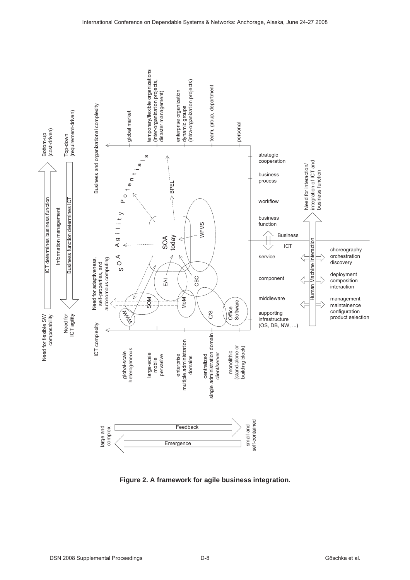

**Figure 2. A framework for agile business integration.**